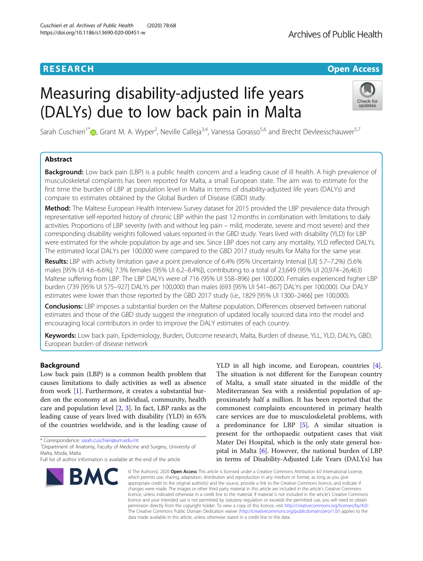## **RESEARCH CHE Open Access**

# Measuring disability-adjusted life years (DALYs) due to low back pain in Malta



Sarah Cuschieri<sup>1\*</sup> D[,](http://orcid.org/0000-0003-2012-9234) Grant M. A. Wyper<sup>2</sup>, Neville Calleja<sup>3,4</sup>, Vanessa Gorasso<sup>5,6</sup> and Brecht Devleesschauwer<sup>5,7</sup>

## Abstract

Background: Low back pain (LBP) is a public health concern and a leading cause of ill health. A high prevalence of musculoskeletal complaints has been reported for Malta, a small European state. The aim was to estimate for the first time the burden of LBP at population level in Malta in terms of disability-adjusted life years (DALYs) and compare to estimates obtained by the Global Burden of Disease (GBD) study.

Method: The Maltese European Health Interview Survey dataset for 2015 provided the LBP prevalence data through representative self-reported history of chronic LBP within the past 12 months in combination with limitations to daily activities. Proportions of LBP severity (with and without leg pain – mild, moderate, severe and most severe) and their corresponding disability weights followed values reported in the GBD study. Years lived with disability (YLD) for LBP were estimated for the whole population by age and sex. Since LBP does not carry any mortality, YLD reflected DALYs. The estimated local DALYs per 100,000 were compared to the GBD 2017 study results for Malta for the same year.

Results: LBP with activity limitation gave a point prevalence of 6.4% (95% Uncertainty Interval [UI] 5.7–7.2%) (5.6% males [95% UI 4.6–6.6%]; 7.3% females [95% UI 6.2–8.4%]), contributing to a total of 23,649 (95% UI 20,974–26,463) Maltese suffering from LBP. The LBP DALYs were of 716 (95% UI 558–896) per 100,000. Females experienced higher LBP burden (739 [95% UI 575–927] DALYs per 100,000) than males (693 [95% UI 541–867] DALYs per 100,000). Our DALY estimates were lower than those reported by the GBD 2017 study (i.e., 1829 [95% UI 1300–2466] per 100,000).

**Conclusions:** LBP imposes a substantial burden on the Maltese population. Differences observed between national estimates and those of the GBD study suggest the integration of updated locally sourced data into the model and encouraging local contributors in order to improve the DALY estimates of each country.

Keywords: Low back pain, Epidemiology, Burden, Outcome research, Malta, Burden of disease, YLL, YLD, DALYs, GBD, European burden of disease network

## Background

Low back pain (LBP) is a common health problem that causes limitations to daily activities as well as absence from work [[1\]](#page-6-0). Furthermore, it creates a substantial burden on the economy at an individual, community, health care and population level [\[2](#page-6-0), [3](#page-6-0)]. In fact, LBP ranks as the leading cause of years lived with disability (YLD) in 65% of the countries worldwide, and is the leading cause of

\* Correspondence: [sarah.cuschieri@um.edu.mt](mailto:sarah.cuschieri@um.edu.mt) <sup>1</sup>

<sup>1</sup> Department of Anatomy, Faculty of Medicine and Surgery, University of Malta, Msida, Malta

Full list of author information is available at the end of the article



YLD in all high income, and European, countries [\[4](#page-6-0)]. The situation is not different for the European country of Malta, a small state situated in the middle of the Mediterranean Sea with a residential population of approximately half a million. It has been reported that the commonest complaints encountered in primary health care services are due to musculoskeletal problems, with a predominance for LBP [[5](#page-6-0)]. A similar situation is present for the orthopaedic outpatient cases that visit Mater Dei Hospital, which is the only state general hospital in Malta [\[6](#page-6-0)]. However, the national burden of LBP in terms of Disability-Adjusted Life Years (DALYs) has

© The Author(s), 2020 **Open Access** This article is licensed under a Creative Commons Attribution 4.0 International License, which permits use, sharing, adaptation, distribution and reproduction in any medium or format, as long as you give appropriate credit to the original author(s) and the source, provide a link to the Creative Commons licence, and indicate if changes were made. The images or other third party material in this article are included in the article's Creative Commons licence, unless indicated otherwise in a credit line to the material. If material is not included in the article's Creative Commons licence and your intended use is not permitted by statutory regulation or exceeds the permitted use, you will need to obtain permission directly from the copyright holder. To view a copy of this licence, visit [http://creativecommons.org/licenses/by/4.0/.](http://creativecommons.org/licenses/by/4.0/) The Creative Commons Public Domain Dedication waiver [\(http://creativecommons.org/publicdomain/zero/1.0/](http://creativecommons.org/publicdomain/zero/1.0/)) applies to the data made available in this article, unless otherwise stated in a credit line to the data.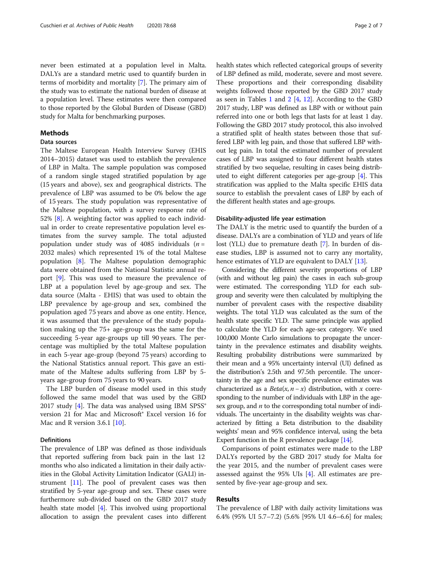never been estimated at a population level in Malta. DALYs are a standard metric used to quantify burden in terms of morbidity and mortality [\[7\]](#page-6-0). The primary aim of the study was to estimate the national burden of disease at a population level. These estimates were then compared to those reported by the Global Burden of Disease (GBD) study for Malta for benchmarking purposes.

## **Methods**

## Data sources

The Maltese European Health Interview Survey (EHIS 2014–2015) dataset was used to establish the prevalence of LBP in Malta. The sample population was composed of a random single staged stratified population by age (15 years and above), sex and geographical districts. The prevalence of LBP was assumed to be 0% below the age of 15 years. The study population was representative of the Maltese population, with a survey response rate of 52% [[8\]](#page-6-0). A weighting factor was applied to each individual in order to create representative population level estimates from the survey sample. The total adjusted population under study was of 4085 individuals ( $n =$ 2032 males) which represented 1% of the total Maltese population [\[8](#page-6-0)]. The Maltese population demographic data were obtained from the National Statistic annual report [\[9\]](#page-6-0). This was used to measure the prevalence of LBP at a population level by age-group and sex. The data source (Malta - EHIS) that was used to obtain the LBP prevalence by age-group and sex, combined the population aged 75 years and above as one entity. Hence, it was assumed that the prevalence of the study population making up the 75+ age-group was the same for the succeeding 5-year age-groups up till 90 years. The percentage was multiplied by the total Maltese population in each 5-year age-group (beyond 75 years) according to the National Statistics annual report. This gave an estimate of the Maltese adults suffering from LBP by 5 years age-group from 75 years to 90 years.

The LBP burden of disease model used in this study followed the same model that was used by the GBD 2017 study [[4](#page-6-0)]. The data was analysed using IBM SPSS<sup>®</sup> version 21 for Mac and Microsoft® Excel version 16 for Mac and R version 3.6.1 [[10\]](#page-6-0).

## Definitions

The prevalence of LBP was defined as those individuals that reported suffering from back pain in the last 12 months who also indicated a limitation in their daily activities in the Global Activity Limitation Indicator (GALI) instrument [\[11\]](#page-6-0). The pool of prevalent cases was then stratified by 5-year age-group and sex. These cases were furthermore sub-divided based on the GBD 2017 study health state model [[4](#page-6-0)]. This involved using proportional allocation to assign the prevalent cases into different health states which reflected categorical groups of severity of LBP defined as mild, moderate, severe and most severe. These proportions and their corresponding disability weights followed those reported by the GBD 2017 study as seen in Tables [1](#page-2-0) and [2](#page-2-0) [[4,](#page-6-0) [12\]](#page-6-0). According to the GBD 2017 study, LBP was defined as LBP with or without pain referred into one or both legs that lasts for at least 1 day. Following the GBD 2017 study protocol, this also involved a stratified split of health states between those that suffered LBP with leg pain, and those that suffered LBP without leg pain. In total the estimated number of prevalent cases of LBP was assigned to four different health states stratified by two sequelae, resulting in cases being distributed to eight different categories per age-group [[4\]](#page-6-0). This stratification was applied to the Malta specific EHIS data source to establish the prevalent cases of LBP by each of the different health states and age-groups.

#### Disability-adjusted life year estimation

The DALY is the metric used to quantify the burden of a disease. DALYs are a combination of YLD and years of life lost (YLL) due to premature death [\[7\]](#page-6-0). In burden of disease studies, LBP is assumed not to carry any mortality, hence estimates of YLD are equivalent to DALY [[13](#page-6-0)].

Considering the different severity proportions of LBP (with and without leg pain) the cases in each sub-group were estimated. The corresponding YLD for each subgroup and severity were then calculated by multiplying the number of prevalent cases with the respective disability weights. The total YLD was calculated as the sum of the health state specific YLD. The same principle was applied to calculate the YLD for each age-sex category. We used 100,000 Monte Carlo simulations to propagate the uncertainty in the prevalence estimates and disability weights. Resulting probability distributions were summarized by their mean and a 95% uncertainty interval (UI) defined as the distribution's 2.5th and 97.5th percentile. The uncertainty in the age and sex specific prevalence estimates was characterized as a  $Beta(x, n - x)$  distribution, with x corresponding to the number of individuals with LBP in the agesex group, and  $n$  to the corresponding total number of individuals. The uncertainty in the disability weights was characterized by fitting a Beta distribution to the disability weights' mean and 95% confidence interval, using the beta Expert function in the R prevalence package [\[14](#page-6-0)].

Comparisons of point estimates were made to the LBP DALYs reported by the GBD 2017 study for Malta for the year 2015, and the number of prevalent cases were assessed against the  $95\%$  UIs [\[4](#page-6-0)]. All estimates are presented by five-year age-group and sex.

## Results

The prevalence of LBP with daily activity limitations was 6.4% (95% UI 5.7–7.2) (5.6% [95% UI 4.6–6.6] for males;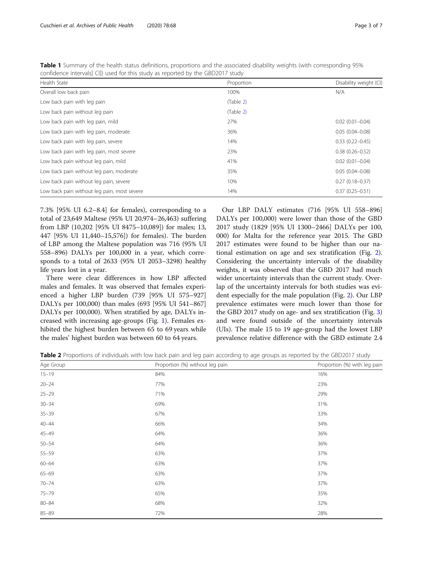<span id="page-2-0"></span>

| Table 1 Summary of the health status definitions, proportions and the associated disability weights (with corresponding 95% |  |  |  |  |
|-----------------------------------------------------------------------------------------------------------------------------|--|--|--|--|
| confidence intervals] CIJ) used for this study as reported by the GBD2017 study                                             |  |  |  |  |

| Health State                                | Proportion | Disability weight (CI) |
|---------------------------------------------|------------|------------------------|
| Overall low back pain                       | 100%       | N/A                    |
| Low back pain with leg pain                 | (Table 2)  |                        |
| Low back pain without leg pain              | (Table 2)  |                        |
| Low back pain with leg pain, mild           | 27%        | $0.02$ $(0.01 - 0.04)$ |
| Low back pain with leg pain, moderate       | 36%        | $0.05(0.04 - 0.08)$    |
| Low back pain with leg pain, severe         | 14%        | $0.33(0.22 - 0.45)$    |
| Low back pain with leg pain, most severe    | 23%        | $0.38(0.26 - 0.52)$    |
| Low back pain without leg pain, mild        | 41%        | $0.02$ $(0.01 - 0.04)$ |
| Low back pain without leg pain, moderate    | 35%        | $0.05(0.04 - 0.08)$    |
| Low back pain without leg pain, severe      | 10%        | $0.27(0.18 - 0.37)$    |
| Low back pain without leg pain, most severe | 14%        | $0.37(0.25 - 0.51)$    |

7.3% [95% UI 6.2–8.4] for females), corresponding to a total of 23,649 Maltese (95% UI 20,974–26,463) suffering from LBP (10,202 [95% UI 8475–10,089]) for males; 13, 447 [95% UI 11,440–15,576]) for females). The burden of LBP among the Maltese population was 716 (95% UI 558–896) DALYs per 100,000 in a year, which corresponds to a total of 2633 (95% UI 2053–3298) healthy life years lost in a year.

There were clear differences in how LBP affected males and females. It was observed that females experienced a higher LBP burden (739 [95% UI 575–927] DALYs per 100,000) than males (693 [95% UI 541–867] DALYs per 100,000). When stratified by age, DALYs increased with increasing age-groups (Fig. [1](#page-3-0)). Females exhibited the highest burden between 65 to 69 years while the males' highest burden was between 60 to 64 years.

Our LBP DALY estimates (716 [95% UI 558–896] DALYs per 100,000) were lower than those of the GBD 2017 study (1829 [95% UI 1300–2466] DALYs per 100, 000) for Malta for the reference year 2015. The GBD 2017 estimates were found to be higher than our national estimation on age and sex stratification (Fig. [2](#page-3-0)). Considering the uncertainty intervals of the disability weights, it was observed that the GBD 2017 had much wider uncertainty intervals than the current study. Overlap of the uncertainty intervals for both studies was evident especially for the male population (Fig. [2\)](#page-3-0). Our LBP prevalence estimates were much lower than those for the GBD 2017 study on age- and sex stratification (Fig. [3](#page-4-0)) and were found outside of the uncertainty intervals (UIs). The male 15 to 19 age-group had the lowest LBP prevalence relative difference with the GBD estimate 2.4

Table 2 Proportions of individuals with low back pain and leg pain according to age groups as reported by the GBD2017 study

| Age Group | Proportion (%) without leg pain | Proportion (%) with leg pain |
|-----------|---------------------------------|------------------------------|
| $15 - 19$ | 84%                             | 16%                          |
| $20 - 24$ | 77%                             | 23%                          |
| $25 - 29$ | 71%                             | 29%                          |
| $30 - 34$ | 69%                             | 31%                          |
| $35 - 39$ | 67%                             | 33%                          |
| $40 - 44$ | 66%                             | 34%                          |
| $45 - 49$ | 64%                             | 36%                          |
| $50 - 54$ | 64%                             | 36%                          |
| $55 - 59$ | 63%                             | 37%                          |
| $60 - 64$ | 63%                             | 37%                          |
| $65 - 69$ | 63%                             | 37%                          |
| $70 - 74$ | 63%                             | 37%                          |
| $75 - 79$ | 65%                             | 35%                          |
| $80 - 84$ | 68%                             | 32%                          |
| $85 - 89$ | 72%                             | 28%                          |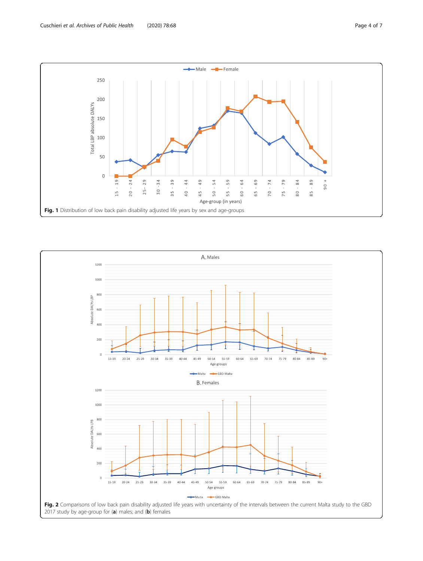<span id="page-3-0"></span>

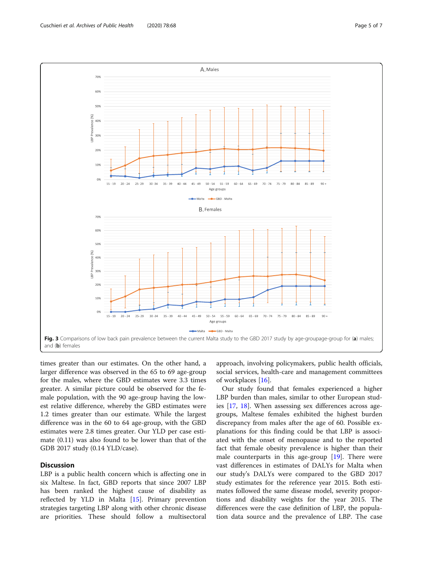<span id="page-4-0"></span>

times greater than our estimates. On the other hand, a larger difference was observed in the 65 to 69 age-group for the males, where the GBD estimates were 3.3 times greater. A similar picture could be observed for the female population, with the 90 age-group having the lowest relative difference, whereby the GBD estimates were 1.2 times greater than our estimate. While the largest difference was in the 60 to 64 age-group, with the GBD estimates were 2.8 times greater. Our YLD per case estimate (0.11) was also found to be lower than that of the GDB 2017 study (0.14 YLD/case).

## **Discussion**

LBP is a public health concern which is affecting one in six Maltese. In fact, GBD reports that since 2007 LBP has been ranked the highest cause of disability as reflected by YLD in Malta [\[15](#page-6-0)]. Primary prevention strategies targeting LBP along with other chronic disease are priorities. These should follow a multisectoral

approach, involving policymakers, public health officials, social services, health-care and management committees of workplaces [\[16\]](#page-6-0).

Our study found that females experienced a higher LBP burden than males, similar to other European studies [[17](#page-6-0), [18](#page-6-0)]. When assessing sex differences across agegroups, Maltese females exhibited the highest burden discrepancy from males after the age of 60. Possible explanations for this finding could be that LBP is associated with the onset of menopause and to the reported fact that female obesity prevalence is higher than their male counterparts in this age-group  $[19]$  $[19]$ . There were vast differences in estimates of DALYs for Malta when our study's DALYs were compared to the GBD 2017 study estimates for the reference year 2015. Both estimates followed the same disease model, severity proportions and disability weights for the year 2015. The differences were the case definition of LBP, the population data source and the prevalence of LBP. The case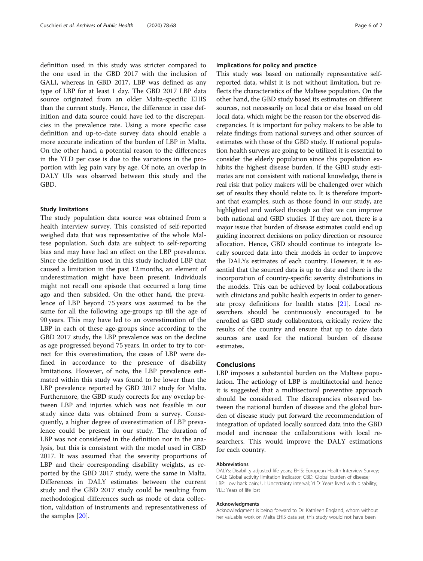definition used in this study was stricter compared to the one used in the GBD 2017 with the inclusion of GALI, whereas in GBD 2017, LBP was defined as any type of LBP for at least 1 day. The GBD 2017 LBP data source originated from an older Malta-specific EHIS than the current study. Hence, the difference in case definition and data source could have led to the discrepancies in the prevalence rate. Using a more specific case definition and up-to-date survey data should enable a more accurate indication of the burden of LBP in Malta. On the other hand, a potential reason to the differences in the YLD per case is due to the variations in the proportion with leg pain vary by age. Of note, an overlap in DALY UIs was observed between this study and the GBD.

#### Study limitations

The study population data source was obtained from a health interview survey. This consisted of self-reported weighed data that was representative of the whole Maltese population. Such data are subject to self-reporting bias and may have had an effect on the LBP prevalence. Since the definition used in this study included LBP that caused a limitation in the past 12 months, an element of underestimation might have been present. Individuals might not recall one episode that occurred a long time ago and then subsided. On the other hand, the prevalence of LBP beyond 75 years was assumed to be the same for all the following age-groups up till the age of 90 years. This may have led to an overestimation of the LBP in each of these age-groups since according to the GBD 2017 study, the LBP prevalence was on the decline as age progressed beyond 75 years. In order to try to correct for this overestimation, the cases of LBP were defined in accordance to the presence of disability limitations. However, of note, the LBP prevalence estimated within this study was found to be lower than the LBP prevalence reported by GBD 2017 study for Malta. Furthermore, the GBD study corrects for any overlap between LBP and injuries which was not feasible in our study since data was obtained from a survey. Consequently, a higher degree of overestimation of LBP prevalence could be present in our study. The duration of LBP was not considered in the definition nor in the analysis, but this is consistent with the model used in GBD 2017. It was assumed that the severity proportions of LBP and their corresponding disability weights, as reported by the GBD 2017 study, were the same in Malta. Differences in DALY estimates between the current study and the GBD 2017 study could be resulting from methodological differences such as mode of data collection, validation of instruments and representativeness of the samples [[20\]](#page-6-0).

#### Implications for policy and practice

This study was based on nationally representative selfreported data, whilst it is not without limitation, but reflects the characteristics of the Maltese population. On the other hand, the GBD study based its estimates on different sources, not necessarily on local data or else based on old local data, which might be the reason for the observed discrepancies. It is important for policy makers to be able to relate findings from national surveys and other sources of estimates with those of the GBD study. If national population health surveys are going to be utilized it is essential to consider the elderly population since this population exhibits the highest disease burden. If the GBD study estimates are not consistent with national knowledge, there is real risk that policy makers will be challenged over which set of results they should relate to. It is therefore important that examples, such as those found in our study, are highlighted and worked through so that we can improve both national and GBD studies. If they are not, there is a major issue that burden of disease estimates could end up guiding incorrect decisions on policy direction or resource allocation. Hence, GBD should continue to integrate locally sourced data into their models in order to improve the DALYs estimates of each country. However, it is essential that the sourced data is up to date and there is the incorporation of country-specific severity distributions in the models. This can be achieved by local collaborations with clinicians and public health experts in order to generate proxy definitions for health states [[21](#page-6-0)]. Local researchers should be continuously encouraged to be enrolled as GBD study collaborators, critically review the results of the country and ensure that up to date data sources are used for the national burden of disease estimates.

## Conclusions

LBP imposes a substantial burden on the Maltese population. The aetiology of LBP is multifactorial and hence it is suggested that a multisectoral preventive approach should be considered. The discrepancies observed between the national burden of disease and the global burden of disease study put forward the recommendation of integration of updated locally sourced data into the GBD model and increase the collaborations with local researchers. This would improve the DALY estimations for each country.

#### Abbreviations

DALYs: Disability adjusted life years; EHIS: European Health Interview Survey; GALI: Global activity limitation indicator; GBD: Global burden of disease; LBP: Low back pain; UI: Uncertainty interval; YLD: Years lived with disability; YLL: Years of life lost

#### Acknowledgments

Acknowledgment is being forward to Dr. Kathleen England, whom without her valuable work on Malta EHIS data set, this study would not have been